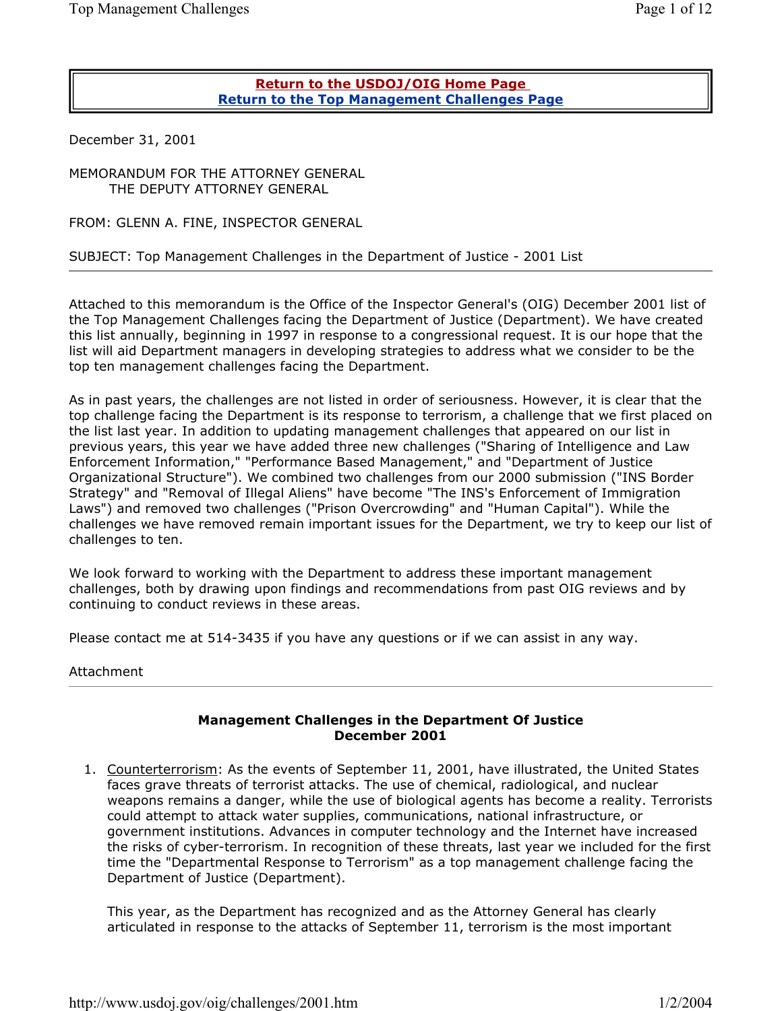## **Return to the USDOJ/OIG Home Page Return to the Top Management Challenges Page**

December 31, 2001

MEMORANDUM FOR THE ATTORNEY GENERAL THE DEPUTY ATTORNEY GENERAL

FROM: GLENN A. FINE, INSPECTOR GENERAL

## SUBJECT: Top Management Challenges in the Department of Justice - 2001 List

Attached to this memorandum is the Office of the Inspector General's (OIG) December 2001 list of the Top Management Challenges facing the Department of Justice (Department). We have created this list annually, beginning in 1997 in response to a congressional request. It is our hope that the list will aid Department managers in developing strategies to address what we consider to be the top ten management challenges facing the Department.

As in past years, the challenges are not listed in order of seriousness. However, it is clear that the top challenge facing the Department is its response to terrorism, a challenge that we first placed on the list last year. In addition to updating management challenges that appeared on our list in previous years, this year we have added three new challenges ("Sharing of Intelligence and Law Enforcement Information," "Performance Based Management," and "Department of Justice Organizational Structure"). We combined two challenges from our 2000 submission ("INS Border Strategy" and "Removal of Illegal Aliens" have become "The INS's Enforcement of Immigration Laws") and removed two challenges ("Prison Overcrowding" and "Human Capital"). While the challenges we have removed remain important issues for the Department, we try to keep our list of challenges to ten.

We look forward to working with the Department to address these important management challenges, both by drawing upon findings and recommendations from past OIG reviews and by continuing to conduct reviews in these areas.

Please contact me at 514-3435 if you have any questions or if we can assist in any way.

Attachment

## **Management Challenges in the Department Of Justice December 2001**

1. Counterterrorism: As the events of September 11, 2001, have illustrated, the United States faces grave threats of terrorist attacks. The use of chemical, radiological, and nuclear weapons remains a danger, while the use of biological agents has become a reality. Terrorists could attempt to attack water supplies, communications, national infrastructure, or government institutions. Advances in computer technology and the Internet have increased the risks of cyber-terrorism. In recognition of these threats, last year we included for the first time the "Departmental Response to Terrorism" as a top management challenge facing the Department of Justice (Department).

This year, as the Department has recognized and as the Attorney General has clearly articulated in response to the attacks of September 11, terrorism is the most important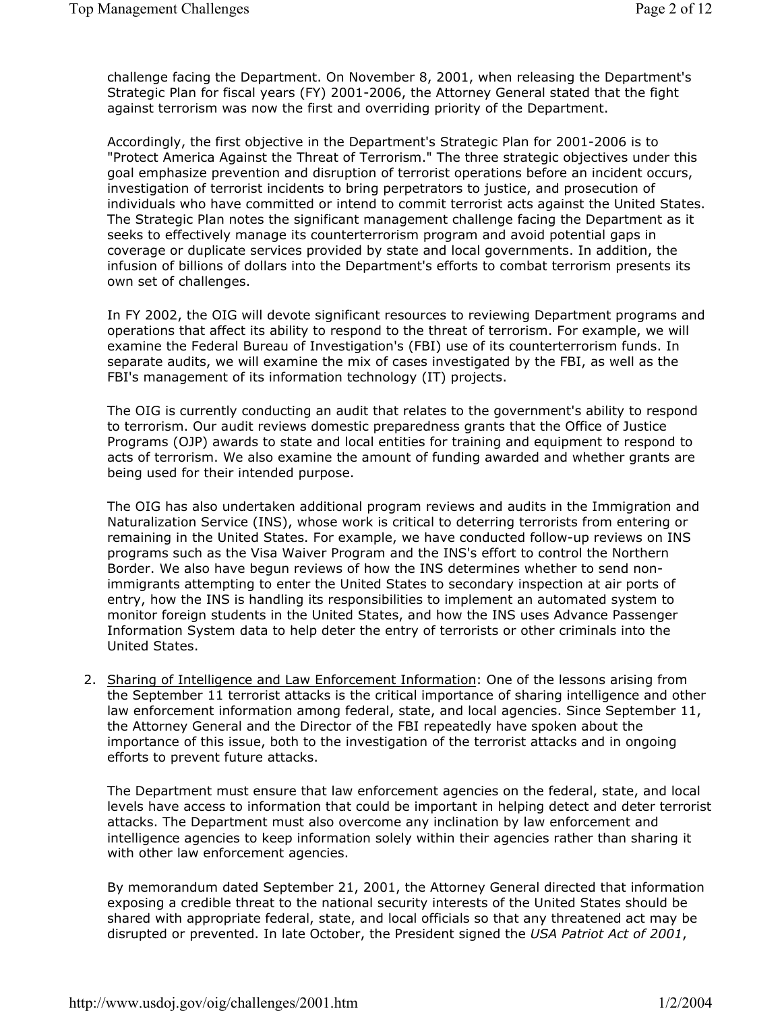challenge facing the Department. On November 8, 2001, when releasing the Department's Strategic Plan for fiscal years (FY) 2001-2006, the Attorney General stated that the fight against terrorism was now the first and overriding priority of the Department.

Accordingly, the first objective in the Department's Strategic Plan for 2001-2006 is to "Protect America Against the Threat of Terrorism." The three strategic objectives under this goal emphasize prevention and disruption of terrorist operations before an incident occurs, investigation of terrorist incidents to bring perpetrators to justice, and prosecution of individuals who have committed or intend to commit terrorist acts against the United States. The Strategic Plan notes the significant management challenge facing the Department as it seeks to effectively manage its counterterrorism program and avoid potential gaps in coverage or duplicate services provided by state and local governments. In addition, the infusion of billions of dollars into the Department's efforts to combat terrorism presents its own set of challenges.

In FY 2002, the OIG will devote significant resources to reviewing Department programs and operations that affect its ability to respond to the threat of terrorism. For example, we will examine the Federal Bureau of Investigation's (FBI) use of its counterterrorism funds. In separate audits, we will examine the mix of cases investigated by the FBI, as well as the FBI's management of its information technology (IT) projects.

The OIG is currently conducting an audit that relates to the government's ability to respond to terrorism. Our audit reviews domestic preparedness grants that the Office of Justice Programs (OJP) awards to state and local entities for training and equipment to respond to acts of terrorism. We also examine the amount of funding awarded and whether grants are being used for their intended purpose.

The OIG has also undertaken additional program reviews and audits in the Immigration and Naturalization Service (INS), whose work is critical to deterring terrorists from entering or remaining in the United States. For example, we have conducted follow-up reviews on INS programs such as the Visa Waiver Program and the INS's effort to control the Northern Border. We also have begun reviews of how the INS determines whether to send nonimmigrants attempting to enter the United States to secondary inspection at air ports of entry, how the INS is handling its responsibilities to implement an automated system to monitor foreign students in the United States, and how the INS uses Advance Passenger Information System data to help deter the entry of terrorists or other criminals into the United States.

2. Sharing of Intelligence and Law Enforcement Information: One of the lessons arising from the September 11 terrorist attacks is the critical importance of sharing intelligence and other law enforcement information among federal, state, and local agencies. Since September 11, the Attorney General and the Director of the FBI repeatedly have spoken about the importance of this issue, both to the investigation of the terrorist attacks and in ongoing efforts to prevent future attacks.

The Department must ensure that law enforcement agencies on the federal, state, and local levels have access to information that could be important in helping detect and deter terrorist attacks. The Department must also overcome any inclination by law enforcement and intelligence agencies to keep information solely within their agencies rather than sharing it with other law enforcement agencies.

By memorandum dated September 21, 2001, the Attorney General directed that information exposing a credible threat to the national security interests of the United States should be shared with appropriate federal, state, and local officials so that any threatened act may be disrupted or prevented. In late October, the President signed the *USA Patriot Act of 2001*,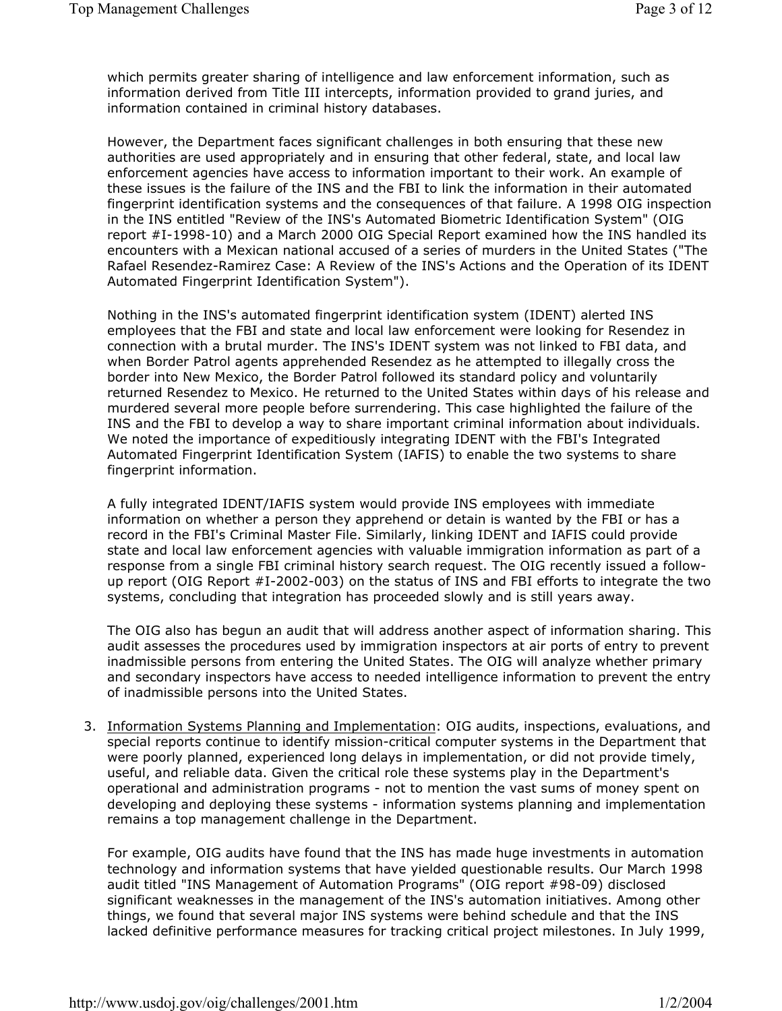which permits greater sharing of intelligence and law enforcement information, such as information derived from Title III intercepts, information provided to grand juries, and information contained in criminal history databases.

However, the Department faces significant challenges in both ensuring that these new authorities are used appropriately and in ensuring that other federal, state, and local law enforcement agencies have access to information important to their work. An example of these issues is the failure of the INS and the FBI to link the information in their automated fingerprint identification systems and the consequences of that failure. A 1998 OIG inspection in the INS entitled "Review of the INS's Automated Biometric Identification System" (OIG report #I-1998-10) and a March 2000 OIG Special Report examined how the INS handled its encounters with a Mexican national accused of a series of murders in the United States ("The Rafael Resendez-Ramirez Case: A Review of the INS's Actions and the Operation of its IDENT Automated Fingerprint Identification System").

Nothing in the INS's automated fingerprint identification system (IDENT) alerted INS employees that the FBI and state and local law enforcement were looking for Resendez in connection with a brutal murder. The INS's IDENT system was not linked to FBI data, and when Border Patrol agents apprehended Resendez as he attempted to illegally cross the border into New Mexico, the Border Patrol followed its standard policy and voluntarily returned Resendez to Mexico. He returned to the United States within days of his release and murdered several more people before surrendering. This case highlighted the failure of the INS and the FBI to develop a way to share important criminal information about individuals. We noted the importance of expeditiously integrating IDENT with the FBI's Integrated Automated Fingerprint Identification System (IAFIS) to enable the two systems to share fingerprint information.

A fully integrated IDENT/IAFIS system would provide INS employees with immediate information on whether a person they apprehend or detain is wanted by the FBI or has a record in the FBI's Criminal Master File. Similarly, linking IDENT and IAFIS could provide state and local law enforcement agencies with valuable immigration information as part of a response from a single FBI criminal history search request. The OIG recently issued a followup report (OIG Report #I-2002-003) on the status of INS and FBI efforts to integrate the two systems, concluding that integration has proceeded slowly and is still years away.

The OIG also has begun an audit that will address another aspect of information sharing. This audit assesses the procedures used by immigration inspectors at air ports of entry to prevent inadmissible persons from entering the United States. The OIG will analyze whether primary and secondary inspectors have access to needed intelligence information to prevent the entry of inadmissible persons into the United States.

3. Information Systems Planning and Implementation: OIG audits, inspections, evaluations, and special reports continue to identify mission-critical computer systems in the Department that were poorly planned, experienced long delays in implementation, or did not provide timely, useful, and reliable data. Given the critical role these systems play in the Department's operational and administration programs - not to mention the vast sums of money spent on developing and deploying these systems - information systems planning and implementation remains a top management challenge in the Department.

For example, OIG audits have found that the INS has made huge investments in automation technology and information systems that have yielded questionable results. Our March 1998 audit titled "INS Management of Automation Programs" (OIG report #98-09) disclosed significant weaknesses in the management of the INS's automation initiatives. Among other things, we found that several major INS systems were behind schedule and that the INS lacked definitive performance measures for tracking critical project milestones. In July 1999,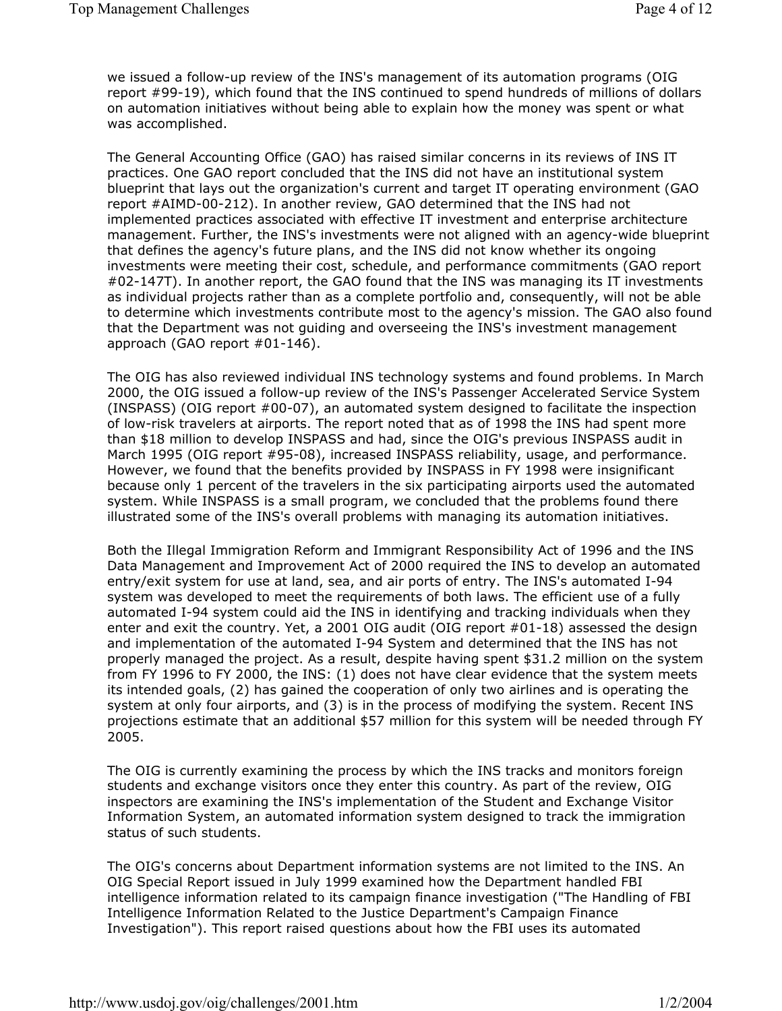we issued a follow-up review of the INS's management of its automation programs (OIG report #99-19), which found that the INS continued to spend hundreds of millions of dollars on automation initiatives without being able to explain how the money was spent or what was accomplished.

The General Accounting Office (GAO) has raised similar concerns in its reviews of INS IT practices. One GAO report concluded that the INS did not have an institutional system blueprint that lays out the organization's current and target IT operating environment (GAO report #AIMD-00-212). In another review, GAO determined that the INS had not implemented practices associated with effective IT investment and enterprise architecture management. Further, the INS's investments were not aligned with an agency-wide blueprint that defines the agency's future plans, and the INS did not know whether its ongoing investments were meeting their cost, schedule, and performance commitments (GAO report #02-147T). In another report, the GAO found that the INS was managing its IT investments as individual projects rather than as a complete portfolio and, consequently, will not be able to determine which investments contribute most to the agency's mission. The GAO also found that the Department was not guiding and overseeing the INS's investment management approach (GAO report #01-146).

The OIG has also reviewed individual INS technology systems and found problems. In March 2000, the OIG issued a follow-up review of the INS's Passenger Accelerated Service System (INSPASS) (OIG report #00-07), an automated system designed to facilitate the inspection of low-risk travelers at airports. The report noted that as of 1998 the INS had spent more than \$18 million to develop INSPASS and had, since the OIG's previous INSPASS audit in March 1995 (OIG report #95-08), increased INSPASS reliability, usage, and performance. However, we found that the benefits provided by INSPASS in FY 1998 were insignificant because only 1 percent of the travelers in the six participating airports used the automated system. While INSPASS is a small program, we concluded that the problems found there illustrated some of the INS's overall problems with managing its automation initiatives.

Both the Illegal Immigration Reform and Immigrant Responsibility Act of 1996 and the INS Data Management and Improvement Act of 2000 required the INS to develop an automated entry/exit system for use at land, sea, and air ports of entry. The INS's automated I-94 system was developed to meet the requirements of both laws. The efficient use of a fully automated I-94 system could aid the INS in identifying and tracking individuals when they enter and exit the country. Yet, a 2001 OIG audit (OIG report #01-18) assessed the design and implementation of the automated I-94 System and determined that the INS has not properly managed the project. As a result, despite having spent \$31.2 million on the system from FY 1996 to FY 2000, the INS: (1) does not have clear evidence that the system meets its intended goals, (2) has gained the cooperation of only two airlines and is operating the system at only four airports, and (3) is in the process of modifying the system. Recent INS projections estimate that an additional \$57 million for this system will be needed through FY 2005.

The OIG is currently examining the process by which the INS tracks and monitors foreign students and exchange visitors once they enter this country. As part of the review, OIG inspectors are examining the INS's implementation of the Student and Exchange Visitor Information System, an automated information system designed to track the immigration status of such students.

The OIG's concerns about Department information systems are not limited to the INS. An OIG Special Report issued in July 1999 examined how the Department handled FBI intelligence information related to its campaign finance investigation ("The Handling of FBI Intelligence Information Related to the Justice Department's Campaign Finance Investigation"). This report raised questions about how the FBI uses its automated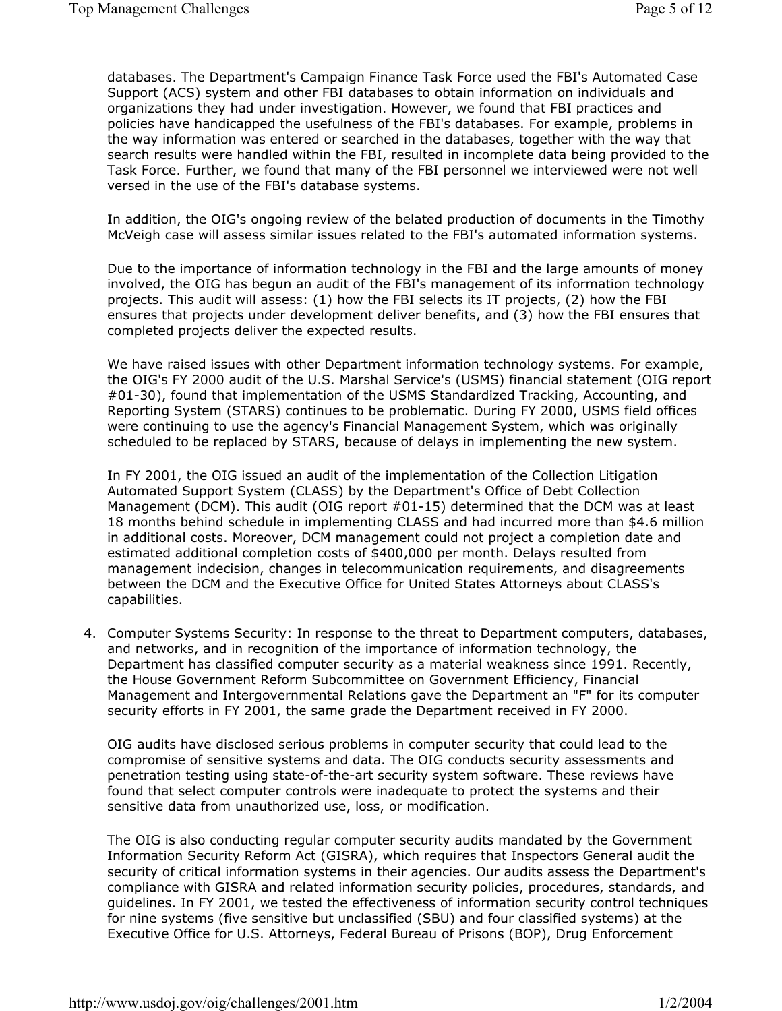databases. The Department's Campaign Finance Task Force used the FBI's Automated Case Support (ACS) system and other FBI databases to obtain information on individuals and organizations they had under investigation. However, we found that FBI practices and policies have handicapped the usefulness of the FBI's databases. For example, problems in the way information was entered or searched in the databases, together with the way that search results were handled within the FBI, resulted in incomplete data being provided to the Task Force. Further, we found that many of the FBI personnel we interviewed were not well versed in the use of the FBI's database systems.

In addition, the OIG's ongoing review of the belated production of documents in the Timothy McVeigh case will assess similar issues related to the FBI's automated information systems.

Due to the importance of information technology in the FBI and the large amounts of money involved, the OIG has begun an audit of the FBI's management of its information technology projects. This audit will assess: (1) how the FBI selects its IT projects, (2) how the FBI ensures that projects under development deliver benefits, and (3) how the FBI ensures that completed projects deliver the expected results.

We have raised issues with other Department information technology systems. For example, the OIG's FY 2000 audit of the U.S. Marshal Service's (USMS) financial statement (OIG report #01-30), found that implementation of the USMS Standardized Tracking, Accounting, and Reporting System (STARS) continues to be problematic. During FY 2000, USMS field offices were continuing to use the agency's Financial Management System, which was originally scheduled to be replaced by STARS, because of delays in implementing the new system.

In FY 2001, the OIG issued an audit of the implementation of the Collection Litigation Automated Support System (CLASS) by the Department's Office of Debt Collection Management (DCM). This audit (OIG report #01-15) determined that the DCM was at least 18 months behind schedule in implementing CLASS and had incurred more than \$4.6 million in additional costs. Moreover, DCM management could not project a completion date and estimated additional completion costs of \$400,000 per month. Delays resulted from management indecision, changes in telecommunication requirements, and disagreements between the DCM and the Executive Office for United States Attorneys about CLASS's capabilities.

4. Computer Systems Security: In response to the threat to Department computers, databases, and networks, and in recognition of the importance of information technology, the Department has classified computer security as a material weakness since 1991. Recently, the House Government Reform Subcommittee on Government Efficiency, Financial Management and Intergovernmental Relations gave the Department an "F" for its computer security efforts in FY 2001, the same grade the Department received in FY 2000.

OIG audits have disclosed serious problems in computer security that could lead to the compromise of sensitive systems and data. The OIG conducts security assessments and penetration testing using state-of-the-art security system software. These reviews have found that select computer controls were inadequate to protect the systems and their sensitive data from unauthorized use, loss, or modification.

The OIG is also conducting regular computer security audits mandated by the Government Information Security Reform Act (GISRA), which requires that Inspectors General audit the security of critical information systems in their agencies. Our audits assess the Department's compliance with GISRA and related information security policies, procedures, standards, and guidelines. In FY 2001, we tested the effectiveness of information security control techniques for nine systems (five sensitive but unclassified (SBU) and four classified systems) at the Executive Office for U.S. Attorneys, Federal Bureau of Prisons (BOP), Drug Enforcement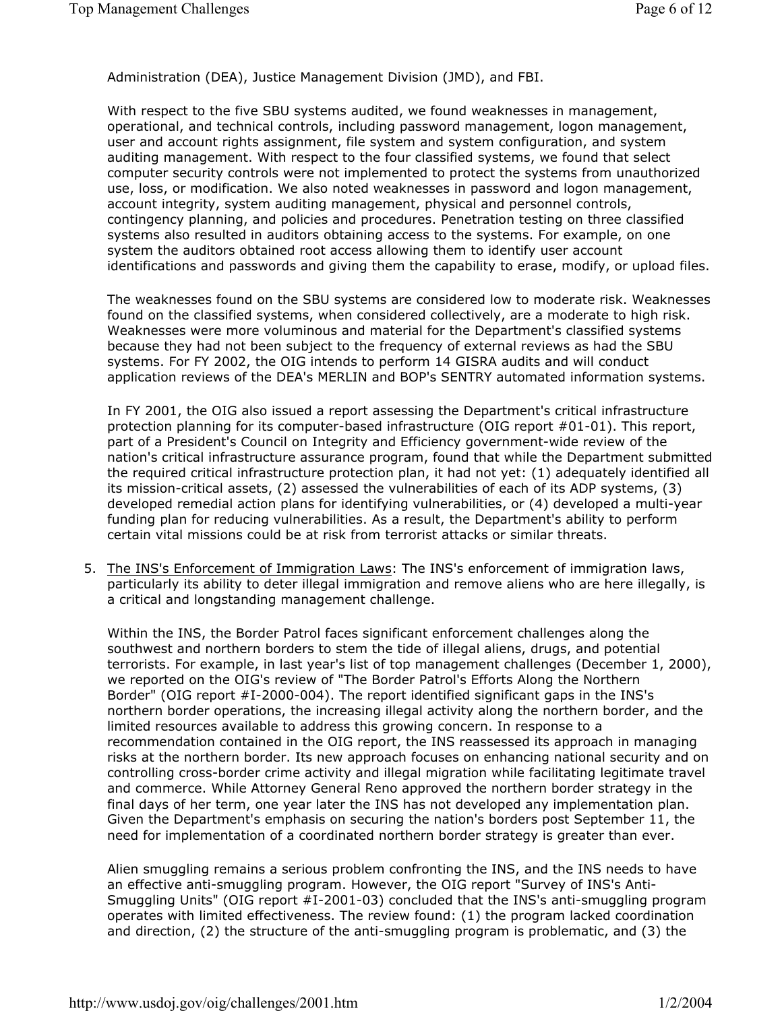Administration (DEA), Justice Management Division (JMD), and FBI.

With respect to the five SBU systems audited, we found weaknesses in management, operational, and technical controls, including password management, logon management, user and account rights assignment, file system and system configuration, and system auditing management. With respect to the four classified systems, we found that select computer security controls were not implemented to protect the systems from unauthorized use, loss, or modification. We also noted weaknesses in password and logon management, account integrity, system auditing management, physical and personnel controls, contingency planning, and policies and procedures. Penetration testing on three classified systems also resulted in auditors obtaining access to the systems. For example, on one system the auditors obtained root access allowing them to identify user account identifications and passwords and giving them the capability to erase, modify, or upload files.

The weaknesses found on the SBU systems are considered low to moderate risk. Weaknesses found on the classified systems, when considered collectively, are a moderate to high risk. Weaknesses were more voluminous and material for the Department's classified systems because they had not been subject to the frequency of external reviews as had the SBU systems. For FY 2002, the OIG intends to perform 14 GISRA audits and will conduct application reviews of the DEA's MERLIN and BOP's SENTRY automated information systems.

In FY 2001, the OIG also issued a report assessing the Department's critical infrastructure protection planning for its computer-based infrastructure (OIG report #01-01). This report, part of a President's Council on Integrity and Efficiency government-wide review of the nation's critical infrastructure assurance program, found that while the Department submitted the required critical infrastructure protection plan, it had not yet: (1) adequately identified all its mission-critical assets, (2) assessed the vulnerabilities of each of its ADP systems, (3) developed remedial action plans for identifying vulnerabilities, or (4) developed a multi-year funding plan for reducing vulnerabilities. As a result, the Department's ability to perform certain vital missions could be at risk from terrorist attacks or similar threats.

5. The INS's Enforcement of Immigration Laws: The INS's enforcement of immigration laws, particularly its ability to deter illegal immigration and remove aliens who are here illegally, is a critical and longstanding management challenge.

Within the INS, the Border Patrol faces significant enforcement challenges along the southwest and northern borders to stem the tide of illegal aliens, drugs, and potential terrorists. For example, in last year's list of top management challenges (December 1, 2000), we reported on the OIG's review of "The Border Patrol's Efforts Along the Northern Border" (OIG report #I-2000-004). The report identified significant gaps in the INS's northern border operations, the increasing illegal activity along the northern border, and the limited resources available to address this growing concern. In response to a recommendation contained in the OIG report, the INS reassessed its approach in managing risks at the northern border. Its new approach focuses on enhancing national security and on controlling cross-border crime activity and illegal migration while facilitating legitimate travel and commerce. While Attorney General Reno approved the northern border strategy in the final days of her term, one year later the INS has not developed any implementation plan. Given the Department's emphasis on securing the nation's borders post September 11, the need for implementation of a coordinated northern border strategy is greater than ever.

Alien smuggling remains a serious problem confronting the INS, and the INS needs to have an effective anti-smuggling program. However, the OIG report "Survey of INS's Anti-Smuggling Units" (OIG report #I-2001-03) concluded that the INS's anti-smuggling program operates with limited effectiveness. The review found: (1) the program lacked coordination and direction, (2) the structure of the anti-smuggling program is problematic, and (3) the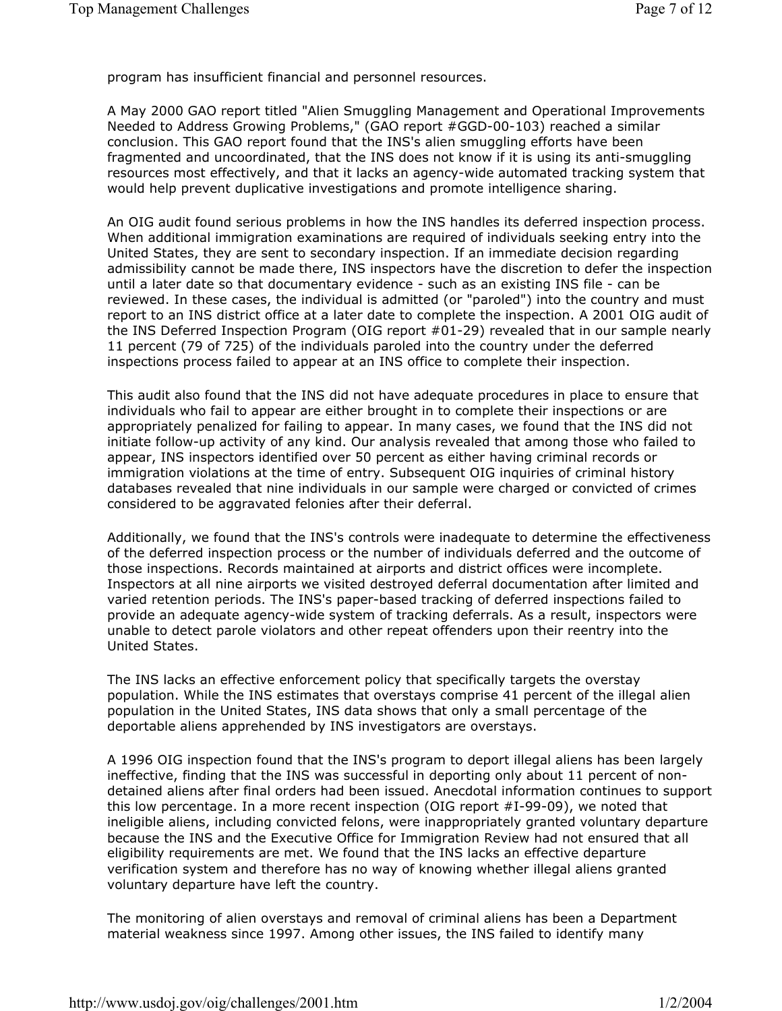program has insufficient financial and personnel resources.

A May 2000 GAO report titled "Alien Smuggling Management and Operational Improvements Needed to Address Growing Problems," (GAO report #GGD-00-103) reached a similar conclusion. This GAO report found that the INS's alien smuggling efforts have been fragmented and uncoordinated, that the INS does not know if it is using its anti-smuggling resources most effectively, and that it lacks an agency-wide automated tracking system that would help prevent duplicative investigations and promote intelligence sharing.

An OIG audit found serious problems in how the INS handles its deferred inspection process. When additional immigration examinations are required of individuals seeking entry into the United States, they are sent to secondary inspection. If an immediate decision regarding admissibility cannot be made there, INS inspectors have the discretion to defer the inspection until a later date so that documentary evidence - such as an existing INS file - can be reviewed. In these cases, the individual is admitted (or "paroled") into the country and must report to an INS district office at a later date to complete the inspection. A 2001 OIG audit of the INS Deferred Inspection Program (OIG report #01-29) revealed that in our sample nearly 11 percent (79 of 725) of the individuals paroled into the country under the deferred inspections process failed to appear at an INS office to complete their inspection.

This audit also found that the INS did not have adequate procedures in place to ensure that individuals who fail to appear are either brought in to complete their inspections or are appropriately penalized for failing to appear. In many cases, we found that the INS did not initiate follow-up activity of any kind. Our analysis revealed that among those who failed to appear, INS inspectors identified over 50 percent as either having criminal records or immigration violations at the time of entry. Subsequent OIG inquiries of criminal history databases revealed that nine individuals in our sample were charged or convicted of crimes considered to be aggravated felonies after their deferral.

Additionally, we found that the INS's controls were inadequate to determine the effectiveness of the deferred inspection process or the number of individuals deferred and the outcome of those inspections. Records maintained at airports and district offices were incomplete. Inspectors at all nine airports we visited destroyed deferral documentation after limited and varied retention periods. The INS's paper-based tracking of deferred inspections failed to provide an adequate agency-wide system of tracking deferrals. As a result, inspectors were unable to detect parole violators and other repeat offenders upon their reentry into the United States.

The INS lacks an effective enforcement policy that specifically targets the overstay population. While the INS estimates that overstays comprise 41 percent of the illegal alien population in the United States, INS data shows that only a small percentage of the deportable aliens apprehended by INS investigators are overstays.

A 1996 OIG inspection found that the INS's program to deport illegal aliens has been largely ineffective, finding that the INS was successful in deporting only about 11 percent of nondetained aliens after final orders had been issued. Anecdotal information continues to support this low percentage. In a more recent inspection (OIG report #I-99-09), we noted that ineligible aliens, including convicted felons, were inappropriately granted voluntary departure because the INS and the Executive Office for Immigration Review had not ensured that all eligibility requirements are met. We found that the INS lacks an effective departure verification system and therefore has no way of knowing whether illegal aliens granted voluntary departure have left the country.

The monitoring of alien overstays and removal of criminal aliens has been a Department material weakness since 1997. Among other issues, the INS failed to identify many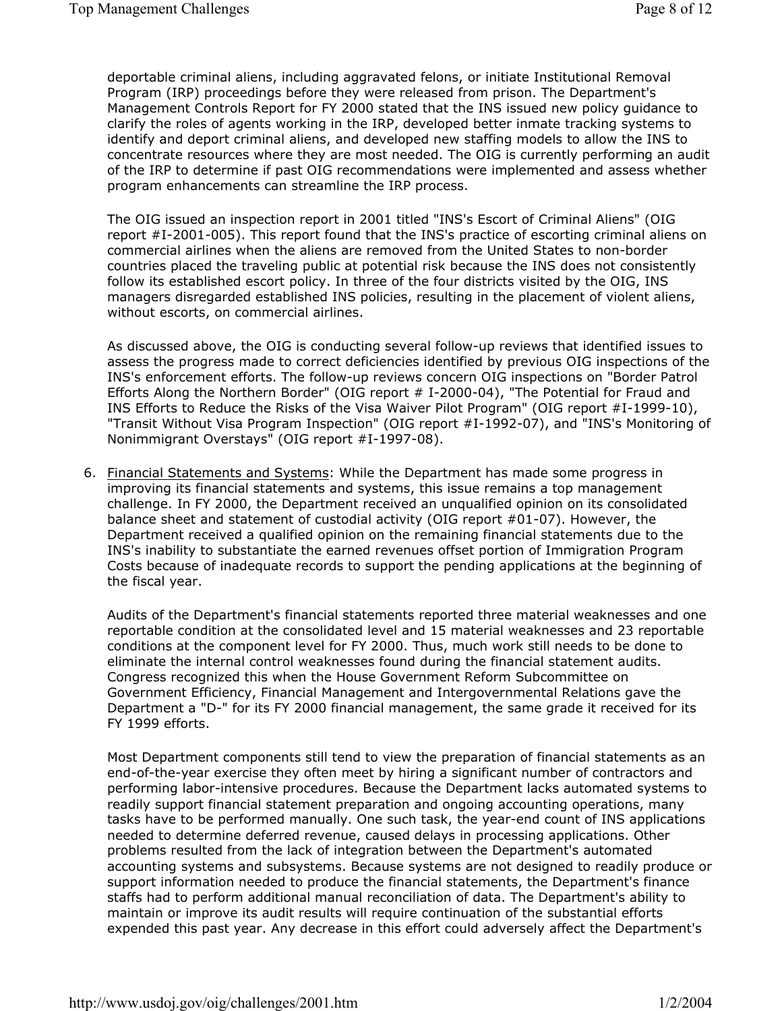deportable criminal aliens, including aggravated felons, or initiate Institutional Removal Program (IRP) proceedings before they were released from prison. The Department's Management Controls Report for FY 2000 stated that the INS issued new policy guidance to clarify the roles of agents working in the IRP, developed better inmate tracking systems to identify and deport criminal aliens, and developed new staffing models to allow the INS to concentrate resources where they are most needed. The OIG is currently performing an audit of the IRP to determine if past OIG recommendations were implemented and assess whether program enhancements can streamline the IRP process.

The OIG issued an inspection report in 2001 titled "INS's Escort of Criminal Aliens" (OIG report #I-2001-005). This report found that the INS's practice of escorting criminal aliens on commercial airlines when the aliens are removed from the United States to non-border countries placed the traveling public at potential risk because the INS does not consistently follow its established escort policy. In three of the four districts visited by the OIG, INS managers disregarded established INS policies, resulting in the placement of violent aliens, without escorts, on commercial airlines.

As discussed above, the OIG is conducting several follow-up reviews that identified issues to assess the progress made to correct deficiencies identified by previous OIG inspections of the INS's enforcement efforts. The follow-up reviews concern OIG inspections on "Border Patrol Efforts Along the Northern Border" (OIG report # I-2000-04), "The Potential for Fraud and INS Efforts to Reduce the Risks of the Visa Waiver Pilot Program" (OIG report #I-1999-10), "Transit Without Visa Program Inspection" (OIG report #I-1992-07), and "INS's Monitoring of Nonimmigrant Overstays" (OIG report #I-1997-08).

6. Financial Statements and Systems: While the Department has made some progress in improving its financial statements and systems, this issue remains a top management challenge. In FY 2000, the Department received an unqualified opinion on its consolidated balance sheet and statement of custodial activity (OIG report #01-07). However, the Department received a qualified opinion on the remaining financial statements due to the INS's inability to substantiate the earned revenues offset portion of Immigration Program Costs because of inadequate records to support the pending applications at the beginning of the fiscal year.

Audits of the Department's financial statements reported three material weaknesses and one reportable condition at the consolidated level and 15 material weaknesses and 23 reportable conditions at the component level for FY 2000. Thus, much work still needs to be done to eliminate the internal control weaknesses found during the financial statement audits. Congress recognized this when the House Government Reform Subcommittee on Government Efficiency, Financial Management and Intergovernmental Relations gave the Department a "D-" for its FY 2000 financial management, the same grade it received for its FY 1999 efforts.

Most Department components still tend to view the preparation of financial statements as an end-of-the-year exercise they often meet by hiring a significant number of contractors and performing labor-intensive procedures. Because the Department lacks automated systems to readily support financial statement preparation and ongoing accounting operations, many tasks have to be performed manually. One such task, the year-end count of INS applications needed to determine deferred revenue, caused delays in processing applications. Other problems resulted from the lack of integration between the Department's automated accounting systems and subsystems. Because systems are not designed to readily produce or support information needed to produce the financial statements, the Department's finance staffs had to perform additional manual reconciliation of data. The Department's ability to maintain or improve its audit results will require continuation of the substantial efforts expended this past year. Any decrease in this effort could adversely affect the Department's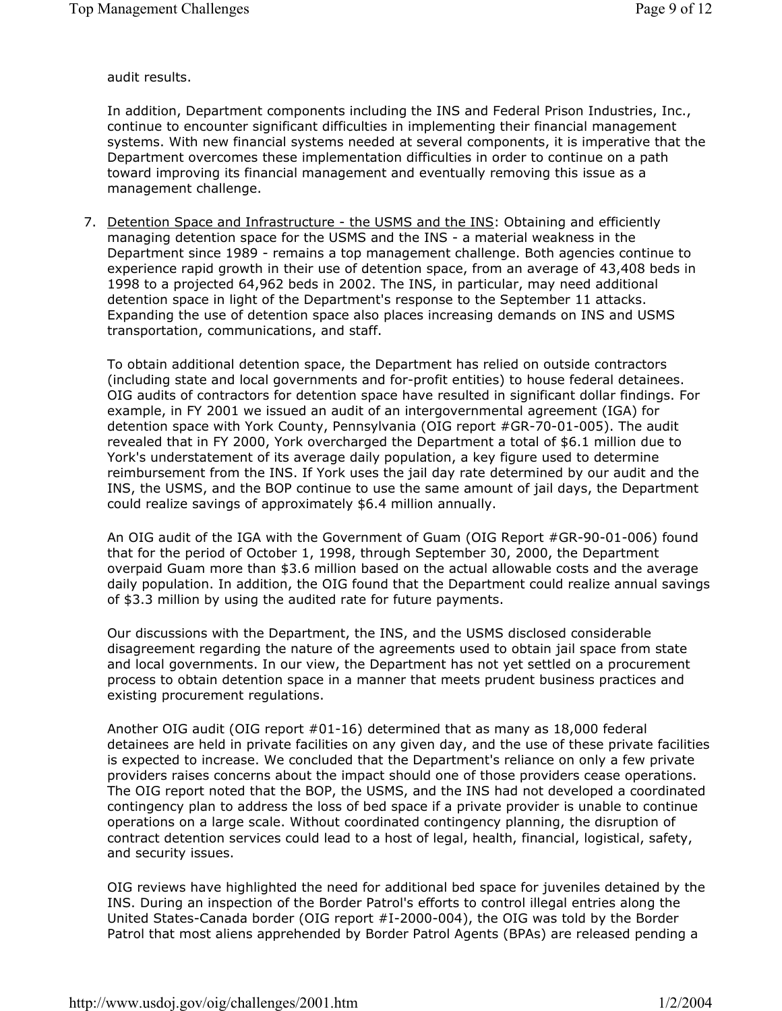audit results.

In addition, Department components including the INS and Federal Prison Industries, Inc., continue to encounter significant difficulties in implementing their financial management systems. With new financial systems needed at several components, it is imperative that the Department overcomes these implementation difficulties in order to continue on a path toward improving its financial management and eventually removing this issue as a management challenge.

7. Detention Space and Infrastructure - the USMS and the INS: Obtaining and efficiently managing detention space for the USMS and the INS - a material weakness in the Department since 1989 - remains a top management challenge. Both agencies continue to experience rapid growth in their use of detention space, from an average of 43,408 beds in 1998 to a projected 64,962 beds in 2002. The INS, in particular, may need additional detention space in light of the Department's response to the September 11 attacks. Expanding the use of detention space also places increasing demands on INS and USMS transportation, communications, and staff.

To obtain additional detention space, the Department has relied on outside contractors (including state and local governments and for-profit entities) to house federal detainees. OIG audits of contractors for detention space have resulted in significant dollar findings. For example, in FY 2001 we issued an audit of an intergovernmental agreement (IGA) for detention space with York County, Pennsylvania (OIG report #GR-70-01-005). The audit revealed that in FY 2000, York overcharged the Department a total of \$6.1 million due to York's understatement of its average daily population, a key figure used to determine reimbursement from the INS. If York uses the jail day rate determined by our audit and the INS, the USMS, and the BOP continue to use the same amount of jail days, the Department could realize savings of approximately \$6.4 million annually.

An OIG audit of the IGA with the Government of Guam (OIG Report #GR-90-01-006) found that for the period of October 1, 1998, through September 30, 2000, the Department overpaid Guam more than \$3.6 million based on the actual allowable costs and the average daily population. In addition, the OIG found that the Department could realize annual savings of \$3.3 million by using the audited rate for future payments.

Our discussions with the Department, the INS, and the USMS disclosed considerable disagreement regarding the nature of the agreements used to obtain jail space from state and local governments. In our view, the Department has not yet settled on a procurement process to obtain detention space in a manner that meets prudent business practices and existing procurement regulations.

Another OIG audit (OIG report #01-16) determined that as many as 18,000 federal detainees are held in private facilities on any given day, and the use of these private facilities is expected to increase. We concluded that the Department's reliance on only a few private providers raises concerns about the impact should one of those providers cease operations. The OIG report noted that the BOP, the USMS, and the INS had not developed a coordinated contingency plan to address the loss of bed space if a private provider is unable to continue operations on a large scale. Without coordinated contingency planning, the disruption of contract detention services could lead to a host of legal, health, financial, logistical, safety, and security issues.

OIG reviews have highlighted the need for additional bed space for juveniles detained by the INS. During an inspection of the Border Patrol's efforts to control illegal entries along the United States-Canada border (OIG report #I-2000-004), the OIG was told by the Border Patrol that most aliens apprehended by Border Patrol Agents (BPAs) are released pending a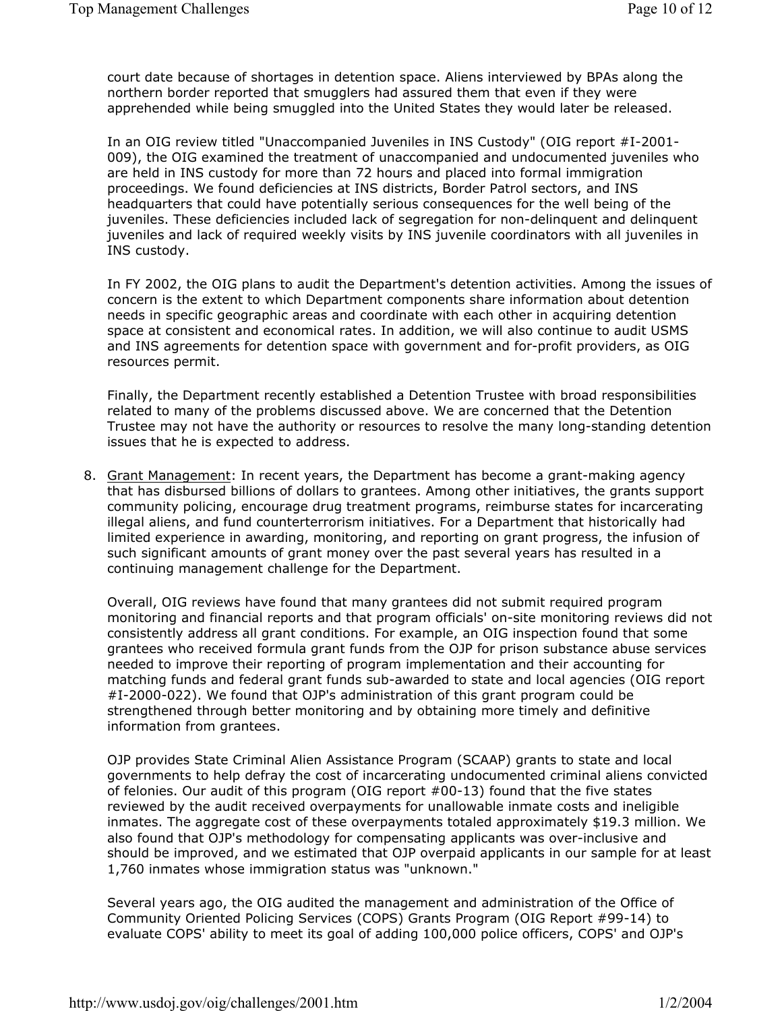court date because of shortages in detention space. Aliens interviewed by BPAs along the northern border reported that smugglers had assured them that even if they were apprehended while being smuggled into the United States they would later be released.

In an OIG review titled "Unaccompanied Juveniles in INS Custody" (OIG report #I-2001- 009), the OIG examined the treatment of unaccompanied and undocumented juveniles who are held in INS custody for more than 72 hours and placed into formal immigration proceedings. We found deficiencies at INS districts, Border Patrol sectors, and INS headquarters that could have potentially serious consequences for the well being of the juveniles. These deficiencies included lack of segregation for non-delinquent and delinquent juveniles and lack of required weekly visits by INS juvenile coordinators with all juveniles in INS custody.

In FY 2002, the OIG plans to audit the Department's detention activities. Among the issues of concern is the extent to which Department components share information about detention needs in specific geographic areas and coordinate with each other in acquiring detention space at consistent and economical rates. In addition, we will also continue to audit USMS and INS agreements for detention space with government and for-profit providers, as OIG resources permit.

Finally, the Department recently established a Detention Trustee with broad responsibilities related to many of the problems discussed above. We are concerned that the Detention Trustee may not have the authority or resources to resolve the many long-standing detention issues that he is expected to address.

8. Grant Management: In recent years, the Department has become a grant-making agency that has disbursed billions of dollars to grantees. Among other initiatives, the grants support community policing, encourage drug treatment programs, reimburse states for incarcerating illegal aliens, and fund counterterrorism initiatives. For a Department that historically had limited experience in awarding, monitoring, and reporting on grant progress, the infusion of such significant amounts of grant money over the past several years has resulted in a continuing management challenge for the Department.

Overall, OIG reviews have found that many grantees did not submit required program monitoring and financial reports and that program officials' on-site monitoring reviews did not consistently address all grant conditions. For example, an OIG inspection found that some grantees who received formula grant funds from the OJP for prison substance abuse services needed to improve their reporting of program implementation and their accounting for matching funds and federal grant funds sub-awarded to state and local agencies (OIG report #I-2000-022). We found that OJP's administration of this grant program could be strengthened through better monitoring and by obtaining more timely and definitive information from grantees.

OJP provides State Criminal Alien Assistance Program (SCAAP) grants to state and local governments to help defray the cost of incarcerating undocumented criminal aliens convicted of felonies. Our audit of this program (OIG report #00-13) found that the five states reviewed by the audit received overpayments for unallowable inmate costs and ineligible inmates. The aggregate cost of these overpayments totaled approximately \$19.3 million. We also found that OJP's methodology for compensating applicants was over-inclusive and should be improved, and we estimated that OJP overpaid applicants in our sample for at least 1,760 inmates whose immigration status was "unknown."

Several years ago, the OIG audited the management and administration of the Office of Community Oriented Policing Services (COPS) Grants Program (OIG Report #99-14) to evaluate COPS' ability to meet its goal of adding 100,000 police officers, COPS' and OJP's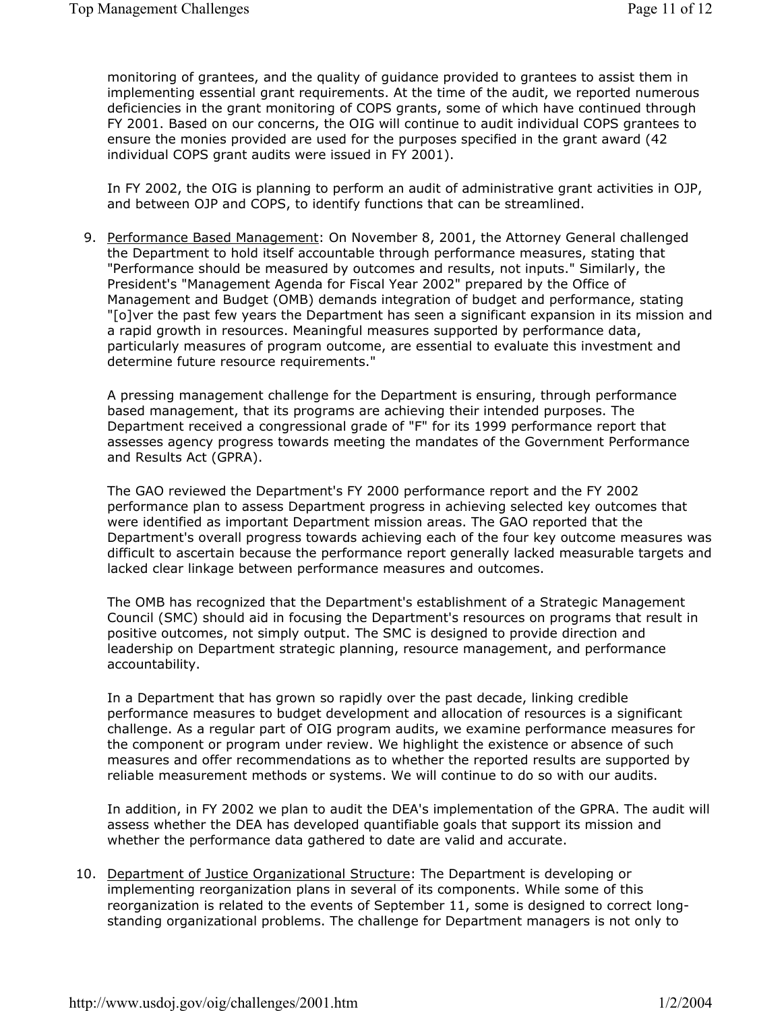monitoring of grantees, and the quality of guidance provided to grantees to assist them in implementing essential grant requirements. At the time of the audit, we reported numerous deficiencies in the grant monitoring of COPS grants, some of which have continued through FY 2001. Based on our concerns, the OIG will continue to audit individual COPS grantees to ensure the monies provided are used for the purposes specified in the grant award (42 individual COPS grant audits were issued in FY 2001).

In FY 2002, the OIG is planning to perform an audit of administrative grant activities in OJP, and between OJP and COPS, to identify functions that can be streamlined.

9. Performance Based Management: On November 8, 2001, the Attorney General challenged the Department to hold itself accountable through performance measures, stating that "Performance should be measured by outcomes and results, not inputs." Similarly, the President's "Management Agenda for Fiscal Year 2002" prepared by the Office of Management and Budget (OMB) demands integration of budget and performance, stating "[o]ver the past few years the Department has seen a significant expansion in its mission and a rapid growth in resources. Meaningful measures supported by performance data, particularly measures of program outcome, are essential to evaluate this investment and determine future resource requirements."

A pressing management challenge for the Department is ensuring, through performance based management, that its programs are achieving their intended purposes. The Department received a congressional grade of "F" for its 1999 performance report that assesses agency progress towards meeting the mandates of the Government Performance and Results Act (GPRA).

The GAO reviewed the Department's FY 2000 performance report and the FY 2002 performance plan to assess Department progress in achieving selected key outcomes that were identified as important Department mission areas. The GAO reported that the Department's overall progress towards achieving each of the four key outcome measures was difficult to ascertain because the performance report generally lacked measurable targets and lacked clear linkage between performance measures and outcomes.

The OMB has recognized that the Department's establishment of a Strategic Management Council (SMC) should aid in focusing the Department's resources on programs that result in positive outcomes, not simply output. The SMC is designed to provide direction and leadership on Department strategic planning, resource management, and performance accountability.

In a Department that has grown so rapidly over the past decade, linking credible performance measures to budget development and allocation of resources is a significant challenge. As a regular part of OIG program audits, we examine performance measures for the component or program under review. We highlight the existence or absence of such measures and offer recommendations as to whether the reported results are supported by reliable measurement methods or systems. We will continue to do so with our audits.

In addition, in FY 2002 we plan to audit the DEA's implementation of the GPRA. The audit will assess whether the DEA has developed quantifiable goals that support its mission and whether the performance data gathered to date are valid and accurate.

10. Department of Justice Organizational Structure: The Department is developing or implementing reorganization plans in several of its components. While some of this reorganization is related to the events of September 11, some is designed to correct longstanding organizational problems. The challenge for Department managers is not only to